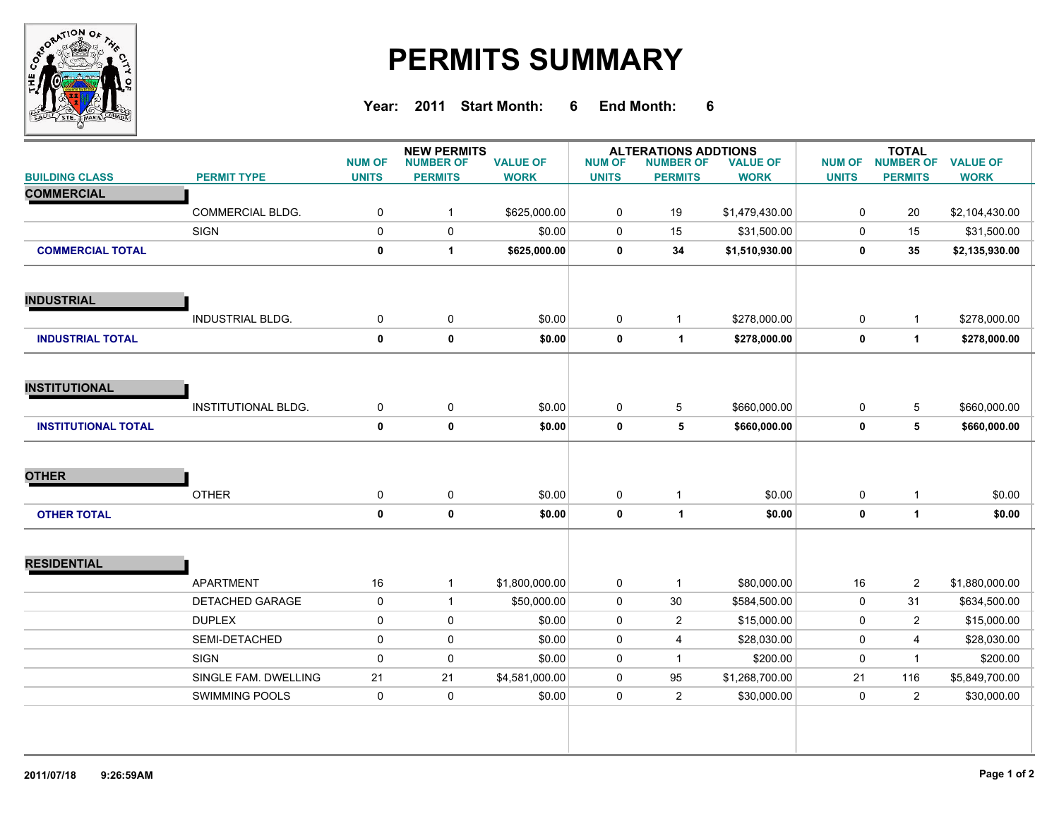

## **PERMITS SUMMARY**

**Year: 2011 Start Month: 6 End Month: 6**

|                            |                            | <b>NUM OF</b> | <b>NEW PERMITS</b>                 |                                | <b>ALTERATIONS ADDTIONS</b><br><b>VALUE OF</b> |                                    |                | <b>TOTAL</b>                  |                                    |                                |
|----------------------------|----------------------------|---------------|------------------------------------|--------------------------------|------------------------------------------------|------------------------------------|----------------|-------------------------------|------------------------------------|--------------------------------|
| <b>BUILDING CLASS</b>      | <b>PERMIT TYPE</b>         | <b>UNITS</b>  | <b>NUMBER OF</b><br><b>PERMITS</b> | <b>VALUE OF</b><br><b>WORK</b> | <b>NUM OF</b><br><b>UNITS</b>                  | <b>NUMBER OF</b><br><b>PERMITS</b> | <b>WORK</b>    | <b>NUM OF</b><br><b>UNITS</b> | <b>NUMBER OF</b><br><b>PERMITS</b> | <b>VALUE OF</b><br><b>WORK</b> |
| <b>COMMERCIAL</b>          |                            |               |                                    |                                |                                                |                                    |                |                               |                                    |                                |
|                            | COMMERCIAL BLDG.           | $\mathbf 0$   | $\mathbf{1}$                       | \$625,000.00                   | 0                                              | 19                                 | \$1,479,430.00 | 0                             | 20                                 | \$2,104,430.00                 |
|                            | <b>SIGN</b>                | $\mathsf{O}$  | $\mathbf 0$                        | \$0.00                         | 0                                              | 15                                 | \$31,500.00    | 0                             | 15                                 | \$31,500.00                    |
| <b>COMMERCIAL TOTAL</b>    |                            | $\mathbf 0$   | $\mathbf{1}$                       | \$625,000.00                   | 0                                              | 34                                 | \$1,510,930.00 | 0                             | 35                                 | \$2,135,930.00                 |
| <b>INDUSTRIAL</b>          |                            |               |                                    |                                |                                                |                                    |                |                               |                                    |                                |
|                            | <b>INDUSTRIAL BLDG.</b>    | $\pmb{0}$     | $\mathbf 0$                        | \$0.00                         | 0                                              | $\mathbf{1}$                       | \$278,000.00   | 0                             | $\mathbf{1}$                       | \$278,000.00                   |
| <b>INDUSTRIAL TOTAL</b>    |                            | $\mathbf 0$   | $\pmb{0}$                          | \$0.00                         | 0                                              | $\blacktriangleleft$               | \$278,000.00   | 0                             | $\mathbf 1$                        | \$278,000.00                   |
| <b>INSTITUTIONAL</b>       |                            |               |                                    |                                |                                                |                                    |                |                               |                                    |                                |
|                            | <b>INSTITUTIONAL BLDG.</b> | 0             | 0                                  | \$0.00                         | 0                                              | 5                                  | \$660,000.00   | 0                             | 5                                  | \$660,000.00                   |
| <b>INSTITUTIONAL TOTAL</b> |                            | $\mathbf 0$   | $\pmb{0}$                          | \$0.00                         | 0                                              | 5                                  | \$660,000.00   | 0                             | 5                                  | \$660,000.00                   |
|                            |                            |               |                                    |                                |                                                |                                    |                |                               |                                    |                                |
| <b>OTHER</b>               |                            |               |                                    |                                |                                                |                                    |                |                               |                                    |                                |
|                            | <b>OTHER</b>               | $\pmb{0}$     | 0                                  | \$0.00                         | 0                                              | $\mathbf{1}$                       | \$0.00         | 0                             | $\mathbf{1}$                       | \$0.00                         |
| <b>OTHER TOTAL</b>         |                            | $\mathbf 0$   | $\pmb{0}$                          | \$0.00                         | 0                                              | $\blacktriangleleft$               | \$0.00         | 0                             | $\mathbf 1$                        | \$0.00                         |
|                            |                            |               |                                    |                                |                                                |                                    |                |                               |                                    |                                |
| <b>RESIDENTIAL</b>         | APARTMENT                  | 16            | $\mathbf{1}$                       | \$1,800,000.00                 | 0                                              | $\mathbf{1}$                       | \$80,000.00    | 16                            | $\overline{2}$                     | \$1,880,000.00                 |
|                            | DETACHED GARAGE            | 0             | $\mathbf{1}$                       | \$50,000.00                    | 0                                              | $30\,$                             | \$584,500.00   | 0                             | 31                                 | \$634,500.00                   |
|                            | <b>DUPLEX</b>              | $\pmb{0}$     | $\pmb{0}$                          | \$0.00                         | 0                                              | $\mathbf{2}$                       | \$15,000.00    | 0                             | $\overline{a}$                     | \$15,000.00                    |
|                            | SEMI-DETACHED              | $\pmb{0}$     | $\pmb{0}$                          | \$0.00                         | 0                                              | $\overline{4}$                     | \$28,030.00    | 0                             | 4                                  | \$28,030.00                    |
|                            | <b>SIGN</b>                | $\mathbf 0$   | $\pmb{0}$                          | \$0.00                         | 0                                              | $\mathbf{1}$                       | \$200.00       | 0                             | $\mathbf{1}$                       | \$200.00                       |
|                            | SINGLE FAM. DWELLING       | 21            | 21                                 | \$4,581,000.00                 | 0                                              | 95                                 | \$1,268,700.00 | 21                            | 116                                | \$5,849,700.00                 |
|                            | <b>SWIMMING POOLS</b>      | 0             | $\pmb{0}$                          | \$0.00                         | 0                                              | $\overline{2}$                     | \$30,000.00    | 0                             | $\overline{2}$                     | \$30,000.00                    |
|                            |                            |               |                                    |                                |                                                |                                    |                |                               |                                    |                                |
|                            |                            |               |                                    |                                |                                                |                                    |                |                               |                                    |                                |